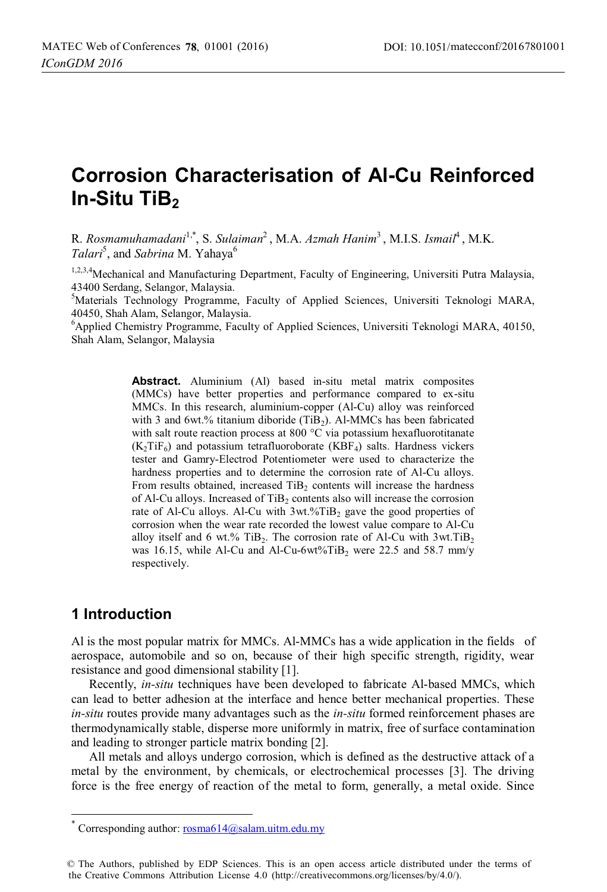# **Corrosion Characterisation of Al-Cu Reinforced In-Situ TiB2**

R. *Rosmamuhamadani*1,\*, S. *Sulaiman*2 , M.A. *Azmah Hanim*3 , M.I.S. *Ismail*4 , M.K. Talari<sup>5</sup>, and *Sabrina* M. Yahaya<sup>6</sup>

1,2,3,4 Mechanical and Manufacturing Department, Faculty of Engineering, Universiti Putra Malaysia, 43400 Serdang, Selangor, Malaysia.

5 Materials Technology Programme, Faculty of Applied Sciences, Universiti Teknologi MARA, 40450, Shah Alam, Selangor, Malaysia.

<sup>6</sup>Applied Chemistry Programme, Faculty of Applied Sciences, Universiti Teknologi MARA, 40150, Shah Alam, Selangor, Malaysia

> **Abstract.** Aluminium (Al) based in-situ metal matrix composites (MMCs) have better properties and performance compared to ex-situ MMCs. In this research, aluminium-copper (Al-Cu) alloy was reinforced with 3 and 6wt.% titanium diboride (TiB<sub>2</sub>). Al-MMCs has been fabricated with salt route reaction process at 800 °C via potassium hexafluorotitanate  $(K_2TiF_6)$  and potassium tetrafluoroborate (KBF<sub>4</sub>) salts. Hardness vickers tester and Gamry-Electrod Potentiometer were used to characterize the hardness properties and to determine the corrosion rate of Al-Cu alloys. From results obtained, increased  $TiB<sub>2</sub>$  contents will increase the hardness of Al-Cu alloys. Increased of  $TiB<sub>2</sub>$  contents also will increase the corrosion rate of Al-Cu alloys. Al-Cu with  $3wt\%$ TiB<sub>2</sub> gave the good properties of corrosion when the wear rate recorded the lowest value compare to Al-Cu alloy itself and 6 wt.% TiB<sub>2</sub>. The corrosion rate of Al-Cu with  $3wt$ .TiB<sub>2</sub> was 16.15, while Al-Cu and Al-Cu-6wt%TiB<sub>2</sub> were 22.5 and 58.7 mm/y respectively.

## **1 Introduction**

 $\overline{a}$ 

Al is the most popular matrix for MMCs. Al-MMCs has a wide application in the fields of aerospace, automobile and so on, because of their high specific strength, rigidity, wear resistance and good dimensional stability [1].

Recently, *in-situ* techniques have been developed to fabricate Al-based MMCs, which can lead to better adhesion at the interface and hence better mechanical properties. These *in-situ* routes provide many advantages such as the *in-situ* formed reinforcement phases are thermodynamically stable, disperse more uniformly in matrix, free of surface contamination and leading to stronger particle matrix bonding [2].

All metals and alloys undergo corrosion, which is defined as the destructive attack of a metal by the environment, by chemicals, or electrochemical processes [3]. The driving force is the free energy of reaction of the metal to form, generally, a metal oxide. Since

Corresponding author:  $rosh(14\omega)$ salam.uitm.edu.my

<sup>©</sup> The Authors, published by EDP Sciences. This is an open access article distributed under the terms of the Creative Commons Attribution License 4.0 (http://creativecommons.org/licenses/by/4.0/).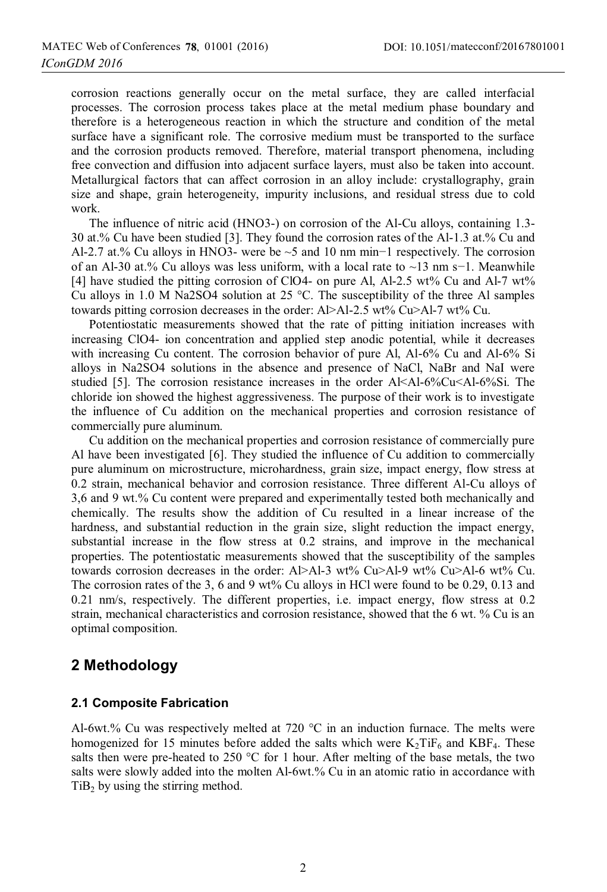corrosion reactions generally occur on the metal surface, they are called interfacial processes. The corrosion process takes place at the metal medium phase boundary and therefore is a heterogeneous reaction in which the structure and condition of the metal surface have a significant role. The corrosive medium must be transported to the surface and the corrosion products removed. Therefore, material transport phenomena, including free convection and diffusion into adjacent surface layers, must also be taken into account. Metallurgical factors that can affect corrosion in an alloy include: crystallography, grain size and shape, grain heterogeneity, impurity inclusions, and residual stress due to cold work.

The influence of nitric acid (HNO3-) on corrosion of the Al-Cu alloys, containing 1.3- 30 at.% Cu have been studied [3]. They found the corrosion rates of the Al-1.3 at.% Cu and Al-2.7 at.% Cu alloys in HNO3- were be ~5 and 10 nm min−1 respectively. The corrosion of an Al-30 at.% Cu alloys was less uniform, with a local rate to ~13 nm s−1. Meanwhile [4] have studied the pitting corrosion of ClO4- on pure Al, Al-2.5 wt% Cu and Al-7 wt% Cu alloys in 1.0 M Na2SO4 solution at 25 °C. The susceptibility of the three Al samples towards pitting corrosion decreases in the order: Al>Al-2.5 wt% Cu>Al-7 wt% Cu.

Potentiostatic measurements showed that the rate of pitting initiation increases with increasing ClO4- ion concentration and applied step anodic potential, while it decreases with increasing Cu content. The corrosion behavior of pure Al, Al-6% Cu and Al-6% Si alloys in Na2SO4 solutions in the absence and presence of NaCl, NaBr and NaI were studied [5]. The corrosion resistance increases in the order Al<Al-6%Cu<Al-6%Si. The chloride ion showed the highest aggressiveness. The purpose of their work is to investigate the influence of Cu addition on the mechanical properties and corrosion resistance of commercially pure aluminum.

Cu addition on the mechanical properties and corrosion resistance of commercially pure Al have been investigated [6]. They studied the influence of Cu addition to commercially pure aluminum on microstructure, microhardness, grain size, impact energy, flow stress at 0.2 strain, mechanical behavior and corrosion resistance. Three different Al-Cu alloys of 3,6 and 9 wt.% Cu content were prepared and experimentally tested both mechanically and chemically. The results show the addition of Cu resulted in a linear increase of the hardness, and substantial reduction in the grain size, slight reduction the impact energy, substantial increase in the flow stress at 0.2 strains, and improve in the mechanical properties. The potentiostatic measurements showed that the susceptibility of the samples towards corrosion decreases in the order: Al>Al-3 wt% Cu>Al-9 wt% Cu>Al-6 wt% Cu. The corrosion rates of the 3, 6 and 9 wt% Cu alloys in HCl were found to be 0.29, 0.13 and 0.21 nm/s, respectively. The different properties, i.e. impact energy, flow stress at 0.2 strain, mechanical characteristics and corrosion resistance, showed that the 6 wt. % Cu is an optimal composition.

## **2 Methodology**

#### **2.1 Composite Fabrication**

Al-6wt.% Cu was respectively melted at 720 °C in an induction furnace. The melts were homogenized for 15 minutes before added the salts which were  $K_2T$ i $F_6$  and  $KBF_4$ . These salts then were pre-heated to 250  $\degree$ C for 1 hour. After melting of the base metals, the two salts were slowly added into the molten Al-6wt.% Cu in an atomic ratio in accordance with  $TiB<sub>2</sub>$  by using the stirring method.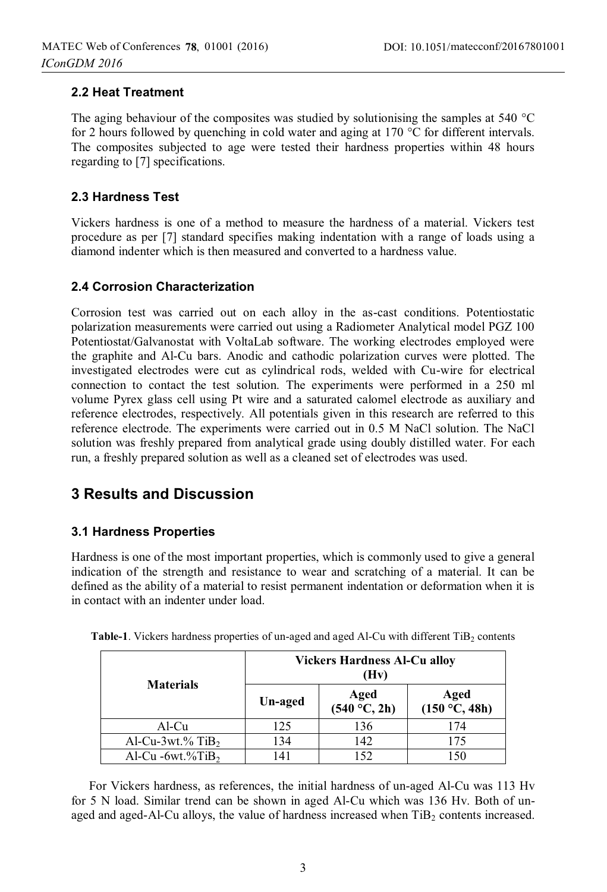### **2.2 Heat Treatment**

The aging behaviour of the composites was studied by solutionising the samples at 540 °C for 2 hours followed by quenching in cold water and aging at 170 °C for different intervals. The composites subjected to age were tested their hardness properties within 48 hours regarding to [7] specifications.

### **2.3 Hardness Test**

Vickers hardness is one of a method to measure the hardness of a material. Vickers test procedure as per [7] standard specifies making indentation with a range of loads using a diamond indenter which is then measured and converted to a hardness value.

### **2.4 Corrosion Characterization**

Corrosion test was carried out on each alloy in the as-cast conditions. Potentiostatic polarization measurements were carried out using a Radiometer Analytical model PGZ 100 Potentiostat/Galvanostat with VoltaLab software. The working electrodes employed were the graphite and Al-Cu bars. Anodic and cathodic polarization curves were plotted. The investigated electrodes were cut as cylindrical rods, welded with Cu-wire for electrical connection to contact the test solution. The experiments were performed in a 250 ml volume Pyrex glass cell using Pt wire and a saturated calomel electrode as auxiliary and reference electrodes, respectively. All potentials given in this research are referred to this reference electrode. The experiments were carried out in 0.5 M NaCl solution. The NaCl solution was freshly prepared from analytical grade using doubly distilled water. For each run, a freshly prepared solution as well as a cleaned set of electrodes was used.

# **3 Results and Discussion**

### **3.1 Hardness Properties**

Hardness is one of the most important properties, which is commonly used to give a general indication of the strength and resistance to wear and scratching of a material. It can be defined as the ability of a material to resist permanent indentation or deformation when it is in contact with an indenter under load.

| <b>Materials</b>                | <b>Vickers Hardness Al-Cu alloy</b><br>(Hv) |                      |                       |  |
|---------------------------------|---------------------------------------------|----------------------|-----------------------|--|
|                                 | Un-aged                                     | Aged<br>(540 °C, 2h) | Aged<br>(150 °C, 48h) |  |
| Al-Cu                           | 125                                         | 136                  | 174                   |  |
| Al-Cu- $3wt$ % TiB <sub>2</sub> | 134                                         | 142                  | 175                   |  |
| Al-Cu -6wt.% $TiB2$             | 141                                         | 152                  | 150                   |  |

Table-1. Vickers hardness properties of un-aged and aged Al-Cu with different TiB<sub>2</sub> contents

For Vickers hardness, as references, the initial hardness of un-aged Al-Cu was 113 Hv for 5 N load. Similar trend can be shown in aged Al-Cu which was 136 Hv. Both of unaged and aged-Al-Cu alloys, the value of hardness increased when  $TiB<sub>2</sub>$  contents increased.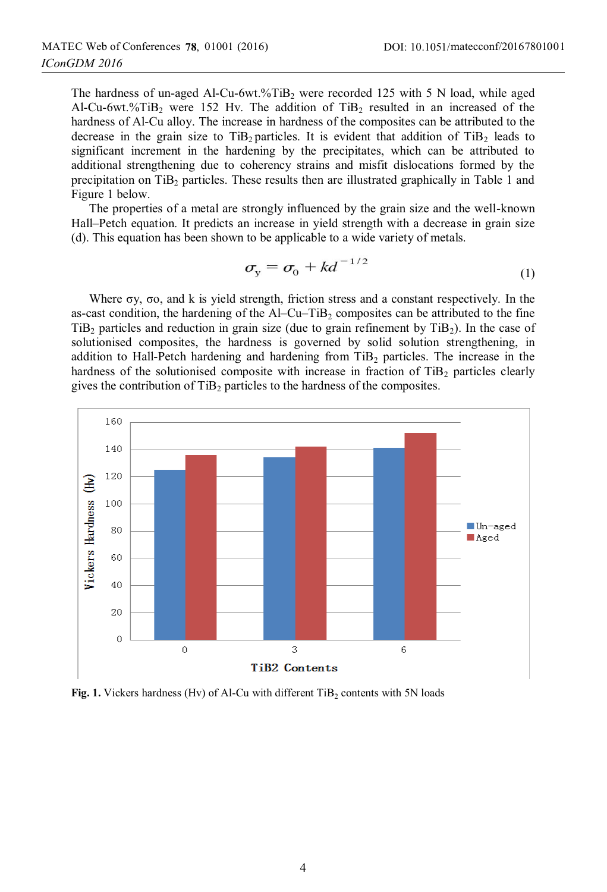The hardness of un-aged Al-Cu-6wt.%TiB<sub>2</sub> were recorded 125 with 5 N load, while aged Al-Cu-6wt.%TiB<sub>2</sub> were 152 Hv. The addition of TiB<sub>2</sub> resulted in an increased of the hardness of Al-Cu alloy. The increase in hardness of the composites can be attributed to the decrease in the grain size to  $TiB<sub>2</sub>$  particles. It is evident that addition of  $TiB<sub>2</sub>$  leads to significant increment in the hardening by the precipitates, which can be attributed to additional strengthening due to coherency strains and misfit dislocations formed by the precipitation on  $TiB<sub>2</sub>$  particles. These results then are illustrated graphically in Table 1 and Figure 1 below.

The properties of a metal are strongly influenced by the grain size and the well-known Hall–Petch equation. It predicts an increase in yield strength with a decrease in grain size (d). This equation has been shown to be applicable to a wide variety of metals.

$$
\sigma_{\rm y} = \sigma_{\rm o} + kd^{-1/2} \tag{1}
$$

Where σy, σo, and k is yield strength, friction stress and a constant respectively. In the as-cast condition, the hardening of the  $AI-Cu-TiB<sub>2</sub>$  composites can be attributed to the fine TiB<sub>2</sub> particles and reduction in grain size (due to grain refinement by  $T<sub>i</sub>B<sub>2</sub>$ ). In the case of solutionised composites, the hardness is governed by solid solution strengthening, in addition to Hall-Petch hardening and hardening from  $TiB<sub>2</sub>$  particles. The increase in the hardness of the solutionised composite with increase in fraction of  $TiB<sub>2</sub>$  particles clearly gives the contribution of  $TiB<sub>2</sub>$  particles to the hardness of the composites.



Fig. 1. Vickers hardness (Hv) of Al-Cu with different TiB<sub>2</sub> contents with 5N loads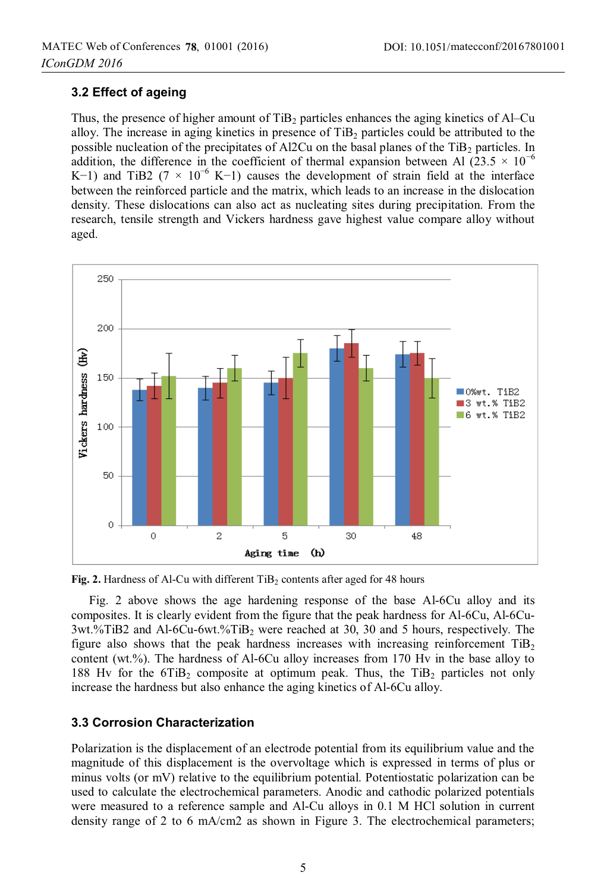### **3.2 Effect of ageing**

Thus, the presence of higher amount of  $TiB<sub>2</sub>$  particles enhances the aging kinetics of Al–Cu alloy. The increase in aging kinetics in presence of  $TiB<sub>2</sub>$  particles could be attributed to the possible nucleation of the precipitates of Al2Cu on the basal planes of the  $TiB<sub>2</sub>$  particles. In addition, the difference in the coefficient of thermal expansion between Al (23.5  $\times$  10<sup>-6</sup> K−1) and TiB2 (7  $\times$  10<sup>-6</sup> K−1) causes the development of strain field at the interface between the reinforced particle and the matrix, which leads to an increase in the dislocation density. These dislocations can also act as nucleating sites during precipitation. From the research, tensile strength and Vickers hardness gave highest value compare alloy without aged.



**Fig. 2.** Hardness of Al-Cu with different TiB<sub>2</sub> contents after aged for 48 hours

Fig. 2 above shows the age hardening response of the base Al-6Cu alloy and its composites. It is clearly evident from the figure that the peak hardness for Al-6Cu, Al-6Cu-3wt.%TiB2 and Al-6Cu-6wt.%TiB2 were reached at 30, 30 and 5 hours, respectively. The figure also shows that the peak hardness increases with increasing reinforcement  $TiB<sub>2</sub>$ content (wt.%). The hardness of Al-6Cu alloy increases from 170 Hv in the base alloy to 188 Hv for the 6TiB<sub>2</sub> composite at optimum peak. Thus, the TiB<sub>2</sub> particles not only increase the hardness but also enhance the aging kinetics of Al-6Cu alloy.

### **3.3 Corrosion Characterization**

Polarization is the displacement of an electrode potential from its equilibrium value and the magnitude of this displacement is the overvoltage which is expressed in terms of plus or minus volts (or mV) relative to the equilibrium potential. Potentiostatic polarization can be used to calculate the electrochemical parameters. Anodic and cathodic polarized potentials were measured to a reference sample and Al-Cu alloys in 0.1 M HCl solution in current density range of 2 to 6 mA/cm2 as shown in Figure 3. The electrochemical parameters;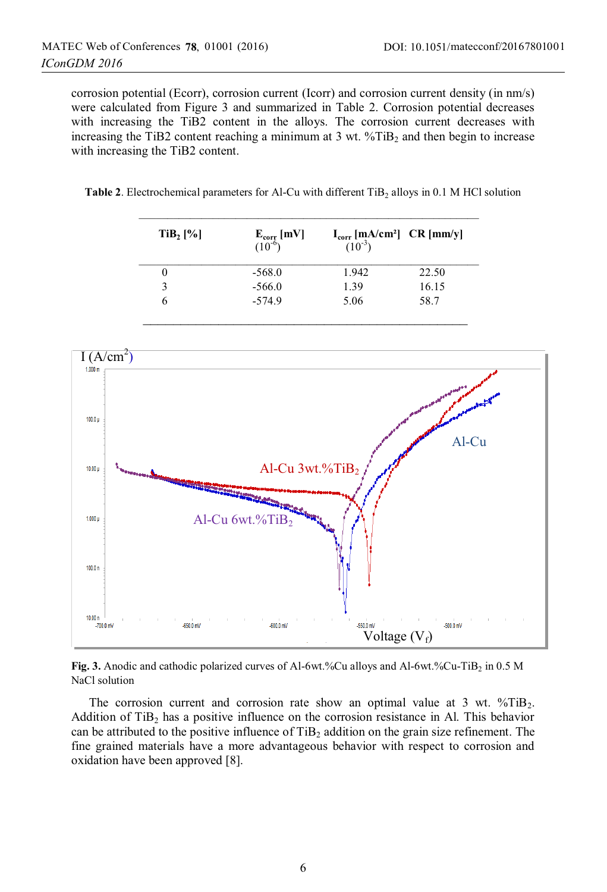corrosion potential (Ecorr), corrosion current (Icorr) and corrosion current density (in nm/s) were calculated from Figure 3 and summarized in Table 2. Corrosion potential decreases with increasing the TiB2 content in the alloys. The corrosion current decreases with increasing the TiB2 content reaching a minimum at 3 wt.  $\sqrt[6]{I}$  and then begin to increase with increasing the TiB2 content.

**Table 2.** Electrochemical parameters for Al-Cu with different TiB<sub>2</sub> alloys in 0.1 M HCl solution

 $\mathcal{L}_\text{max} = \frac{1}{2} \sum_{i=1}^{n} \frac{1}{2} \sum_{i=1}^{n} \frac{1}{2} \sum_{i=1}^{n} \frac{1}{2} \sum_{i=1}^{n} \frac{1}{2} \sum_{i=1}^{n} \frac{1}{2} \sum_{i=1}^{n} \frac{1}{2} \sum_{i=1}^{n} \frac{1}{2} \sum_{i=1}^{n} \frac{1}{2} \sum_{i=1}^{n} \frac{1}{2} \sum_{i=1}^{n} \frac{1}{2} \sum_{i=1}^{n} \frac{1}{2} \sum_{i=1}^{n} \frac{1$ 

| $TiB2$ [%] | $\mathbf{E}_{\text{corr}}$ [mV]<br>(10 <sup>-6</sup> ) | $I_{corr}$ [mA/cm <sup>2</sup> ] CR [mm/y] $(10^{-3})$ |       |
|------------|--------------------------------------------------------|--------------------------------------------------------|-------|
|            | $-568.0$                                               | 1.942                                                  | 22.50 |
| 3          | $-566.0$                                               | 1.39                                                   | 16.15 |
| O          | $-574.9$                                               | 5.06                                                   | 58.7  |



**Fig. 3.** Anodic and cathodic polarized curves of Al-6wt.%Cu alloys and Al-6wt.%Cu-TiB<sub>2</sub> in 0.5 M NaCl solution

The corrosion current and corrosion rate show an optimal value at 3 wt.  $\sqrt[6]{T}$  TiB<sub>2</sub>. Addition of  $TiB<sub>2</sub>$  has a positive influence on the corrosion resistance in Al. This behavior can be attributed to the positive influence of  $TiB<sub>2</sub>$  addition on the grain size refinement. The fine grained materials have a more advantageous behavior with respect to corrosion and oxidation have been approved [8].